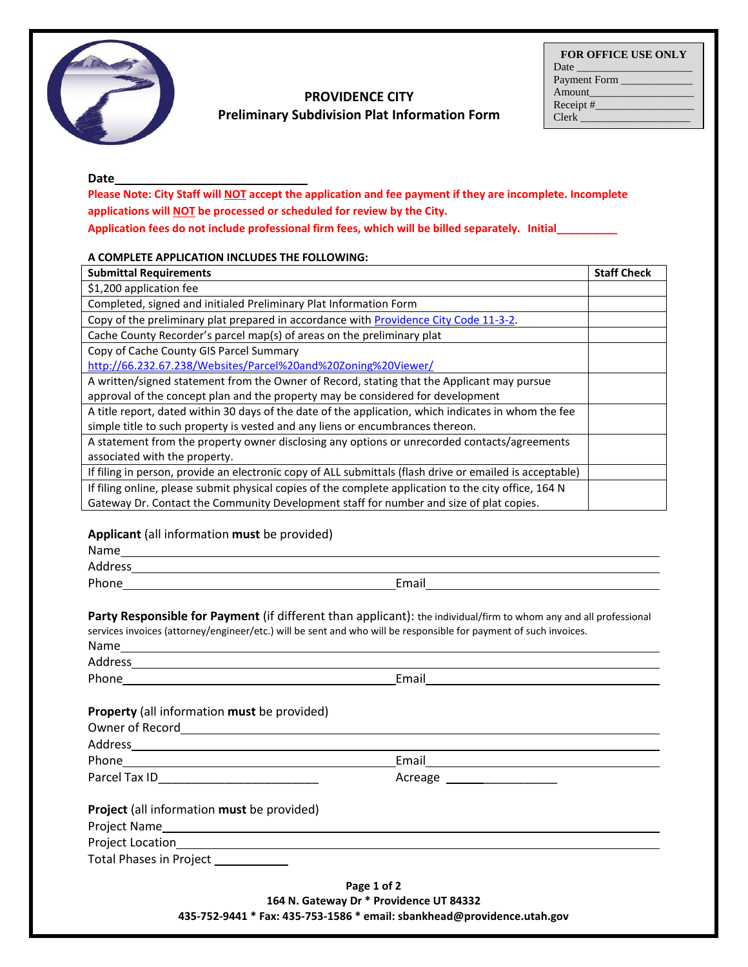

# **PROVIDENCE CITY**

**Preliminary Subdivision Plat Information Form**

| <b>FOR OFFICE USE ONLY</b> |
|----------------------------|
| Date $\qquad \qquad$       |
| Payment Form               |
| Amount                     |
| Receipt $#$                |
| Clerk                      |

#### **Date**

**Please Note: City Staff will NOT accept the application and fee payment if they are incomplete. Incomplete applications will NOT be processed or scheduled for review by the City.** 

**Application fees do not include professional firm fees, which will be billed separately. Initial\_\_\_\_\_\_\_\_\_\_**

#### **A COMPLETE APPLICATION INCLUDES THE FOLLOWING:**

| <b>Submittal Requirements</b>                                                                            | <b>Staff Check</b> |
|----------------------------------------------------------------------------------------------------------|--------------------|
| \$1,200 application fee                                                                                  |                    |
| Completed, signed and initialed Preliminary Plat Information Form                                        |                    |
| Copy of the preliminary plat prepared in accordance with Providence City Code 11-3-2.                    |                    |
| Cache County Recorder's parcel map(s) of areas on the preliminary plat                                   |                    |
| Copy of Cache County GIS Parcel Summary                                                                  |                    |
| http://66.232.67.238/Websites/Parcel%20and%20Zoning%20Viewer/                                            |                    |
| A written/signed statement from the Owner of Record, stating that the Applicant may pursue               |                    |
| approval of the concept plan and the property may be considered for development                          |                    |
| A title report, dated within 30 days of the date of the application, which indicates in whom the fee     |                    |
| simple title to such property is vested and any liens or encumbrances thereon.                           |                    |
| A statement from the property owner disclosing any options or unrecorded contacts/agreements             |                    |
| associated with the property.                                                                            |                    |
| If filing in person, provide an electronic copy of ALL submittals (flash drive or emailed is acceptable) |                    |
| If filing online, please submit physical copies of the complete application to the city office, 164 N    |                    |
| Gateway Dr. Contact the Community Development staff for number and size of plat copies.                  |                    |

## **Applicant** (all information **must** be provided)

| Address and the contract of the contract of the contract of the contract of the contract of the contract of the contract of the contract of the contract of the contract of the contract of the contract of the contract of th |                                                                                                                   |
|--------------------------------------------------------------------------------------------------------------------------------------------------------------------------------------------------------------------------------|-------------------------------------------------------------------------------------------------------------------|
|                                                                                                                                                                                                                                |                                                                                                                   |
| services invoices (attorney/engineer/etc.) will be sent and who will be responsible for payment of such invoices.                                                                                                              | Party Responsible for Payment (if different than applicant): the individual/firm to whom any and all professional |
|                                                                                                                                                                                                                                |                                                                                                                   |
|                                                                                                                                                                                                                                |                                                                                                                   |
| Property (all information must be provided)                                                                                                                                                                                    |                                                                                                                   |
|                                                                                                                                                                                                                                |                                                                                                                   |
|                                                                                                                                                                                                                                |                                                                                                                   |
|                                                                                                                                                                                                                                |                                                                                                                   |
|                                                                                                                                                                                                                                | Acreage ___________________                                                                                       |
| <b>Project</b> (all information must be provided)                                                                                                                                                                              |                                                                                                                   |
|                                                                                                                                                                                                                                |                                                                                                                   |
|                                                                                                                                                                                                                                |                                                                                                                   |
| Total Phases in Project ___________                                                                                                                                                                                            |                                                                                                                   |
|                                                                                                                                                                                                                                | Page 1 of 2                                                                                                       |
|                                                                                                                                                                                                                                | 164 N. Gateway Dr * Providence UT 84332                                                                           |
|                                                                                                                                                                                                                                | 435-752-9441 * Fax: 435-753-1586 * email: sbankhead@providence.utah.gov                                           |